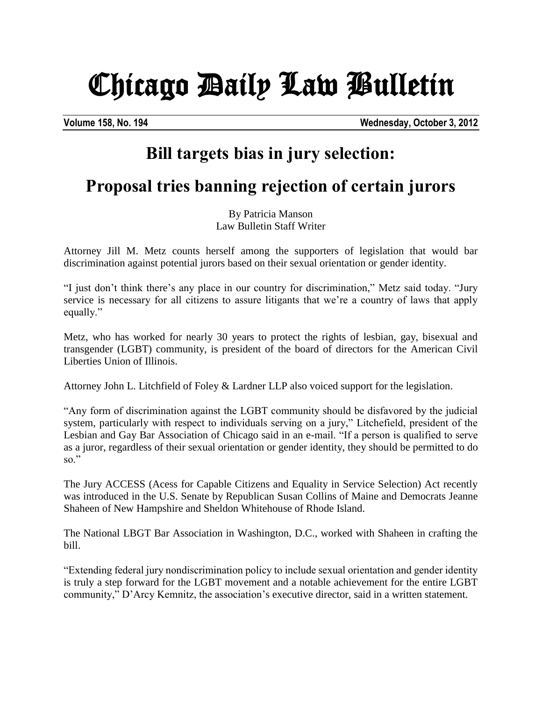## Chicago Daily Law Bulletin

**Volume 158, No. 194 Wednesday, October 3, 2012**

## **Bill targets bias in jury selection:**

## **Proposal tries banning rejection of certain jurors**

By Patricia Manson Law Bulletin Staff Writer

Attorney Jill M. Metz counts herself among the supporters of legislation that would bar discrimination against potential jurors based on their sexual orientation or gender identity.

"I just don't think there's any place in our country for discrimination," Metz said today. "Jury service is necessary for all citizens to assure litigants that we're a country of laws that apply equally."

Metz, who has worked for nearly 30 years to protect the rights of lesbian, gay, bisexual and transgender (LGBT) community, is president of the board of directors for the American Civil Liberties Union of Illinois.

Attorney John L. Litchfield of Foley & Lardner LLP also voiced support for the legislation.

"Any form of discrimination against the LGBT community should be disfavored by the judicial system, particularly with respect to individuals serving on a jury," Litchefield, president of the Lesbian and Gay Bar Association of Chicago said in an e-mail. "If a person is qualified to serve as a juror, regardless of their sexual orientation or gender identity, they should be permitted to do  $\mathrm{so}$ ."

The Jury ACCESS (Acess for Capable Citizens and Equality in Service Selection) Act recently was introduced in the U.S. Senate by Republican Susan Collins of Maine and Democrats Jeanne Shaheen of New Hampshire and Sheldon Whitehouse of Rhode Island.

The National LBGT Bar Association in Washington, D.C., worked with Shaheen in crafting the bill.

"Extending federal jury nondiscrimination policy to include sexual orientation and gender identity is truly a step forward for the LGBT movement and a notable achievement for the entire LGBT community," D'Arcy Kemnitz, the association's executive director, said in a written statement.